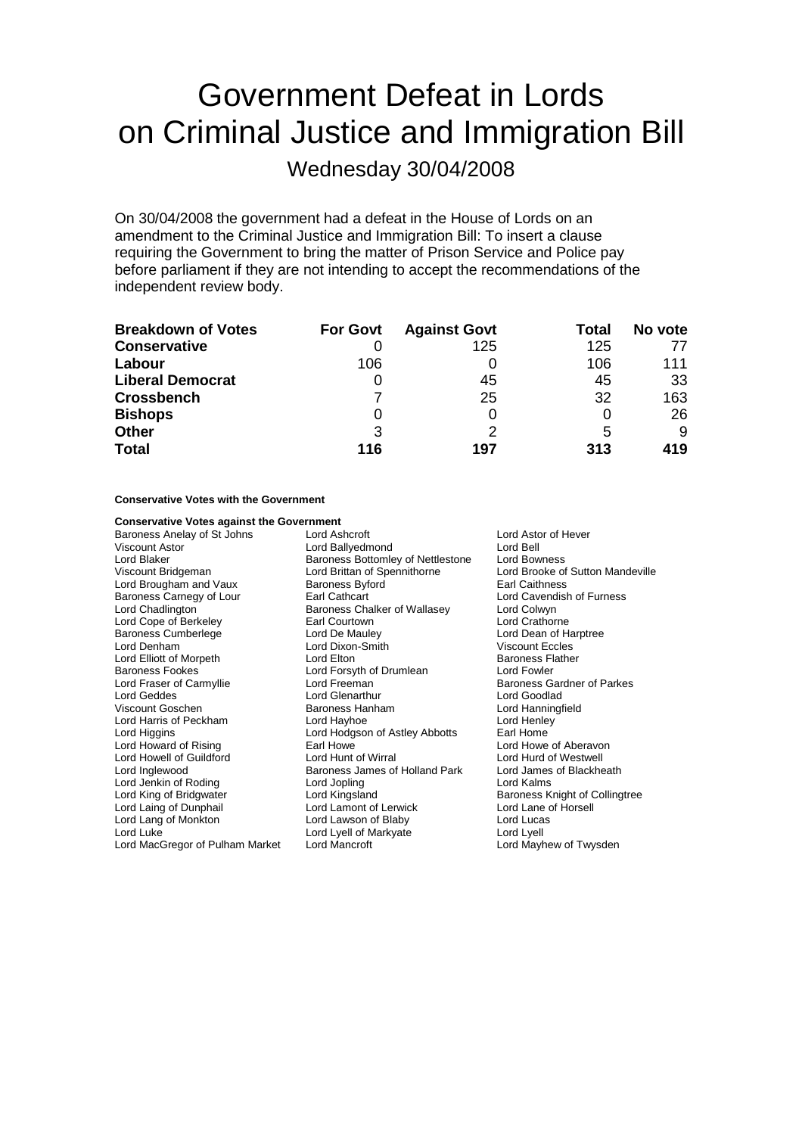# Government Defeat in Lords on Criminal Justice and Immigration Bill

Wednesday 30/04/2008

On 30/04/2008 the government had a defeat in the House of Lords on an amendment to the Criminal Justice and Immigration Bill: To insert a clause requiring the Government to bring the matter of Prison Service and Police pay before parliament if they are not intending to accept the recommendations of the independent review body.

| <b>Breakdown of Votes</b> | <b>For Govt</b> | <b>Against Govt</b> | Total | No vote |
|---------------------------|-----------------|---------------------|-------|---------|
| <b>Conservative</b>       |                 | 125                 | 125   |         |
| Labour                    | 106             |                     | 106   | 111     |
| <b>Liberal Democrat</b>   |                 | 45                  | 45    | 33      |
| <b>Crossbench</b>         |                 | 25                  | 32    | 163     |
| <b>Bishops</b>            |                 | 0                   |       | 26      |
| <b>Other</b>              | 3               | ႒                   | 5     | 9       |
| <b>Total</b>              | 116             | 197                 | 313   | 419     |

# **Conservative Votes with the Government**

# **Conservative Votes against the Government**

Baroness Anelay of St Johns Lord Ashcroft **Lord Astor of Hever** Lord Astor of Hever Viscount Astor **Connect Astor Connect Astor Connect Astor Connect Astor Connect Astor Connect Astor Connect Astor**<br>
Lord Blaker **Connect Astor Connect Astor Connect Astor Connect Astor Connect Astor Connect Astor Connect A** Lord Blaker Baroness Bottomley of Nettlestone<br>
Viscount Bridgeman<br>
Lord Brittan of Spennithorne Lord Brougham and Vaux Baroness Byford Baroness Carnegy of Lour Earl Cathcart Lord Cavendish of Furness<br>
Lord Chadlington **Earl Cathcart** Baroness Chalker of Wallasey Lord Colwyn Lord Cope of Berkeley **Earl Courtown** Earl Courtown Lord Crathorne Baroness Cumberlege Lord De Mauley Lord Dean of Harptree Lord Denham Lord Dixon-Smith Viscount Eccles Lord Elliott of Morpeth Lord Elton Lord Elton Baroness Flather Baroness Flather Baroness Flather Baroness Flather<br>Baroness Fookes Baroness Bland For Baroness Flather Baroness Flather Bland Baroness Flather Bland Bland Blan Baroness Fookes **Lord Forsyth of Drumlean** Lord Fraser of Carmyllie **Lord Freeman** Cord Freeman Baroness Gardner of Parkes<br>
Lord Geddes **Baroness** Lord Glenarthur Lord Goodlad Viscount Goschen Baroness Hanham Lord Hanningfield Lord Harris of Peckham Lord Hayhoe Lord Henley Lord Higgins **Lord Hodgson of Astley Abbotts** Farl Home<br>
Lord Howard of Rising **Earl Howe** Earl Howe Cord Howe of Aberavon Lord Howard of Rising **Earl Howe Carl Howe Communist Cord Howe Cord Howe Of Aberavon**<br>
Lord Hord Hord Hunt of Wirral **Cord Howard Cord Hord Cord Hord Hord Hord Hord Hord Cord Hord Of Westwell** Lord Howell of Guildford Lord Inglewood **Baroness James of Holland Park** Lord James of Blackheath<br>
Lord Jenkin of Roding **Baroness James of Holland Park** Lord Kalms Lord Jenkin of Roding<br>
Lord King of Bridgwater
Lord Kingsland Lord Laing of Dunphail Lord Lang of Monkton Lord Lawson of Blaby Lord Lucas Lord Luke<br>
Lord Luke Lord Lyell of Markyate<br>
Lord MacGregor of Pulham Market Lord Mancroft Lord Market Lord Mayhew of Twysden Lord MacGregor of Pulham Market Lord Mancroft

Baroness Chalker of Wallasey<br>Earl Courtown Lord Glenarthur<br>Baroness Hanham Lord Kingsland<br>
Lord Lamont of Lerwick<br>
Lord Lane of Horsell

Lord Brooke of Sutton Mandeville<br>Farl Caithness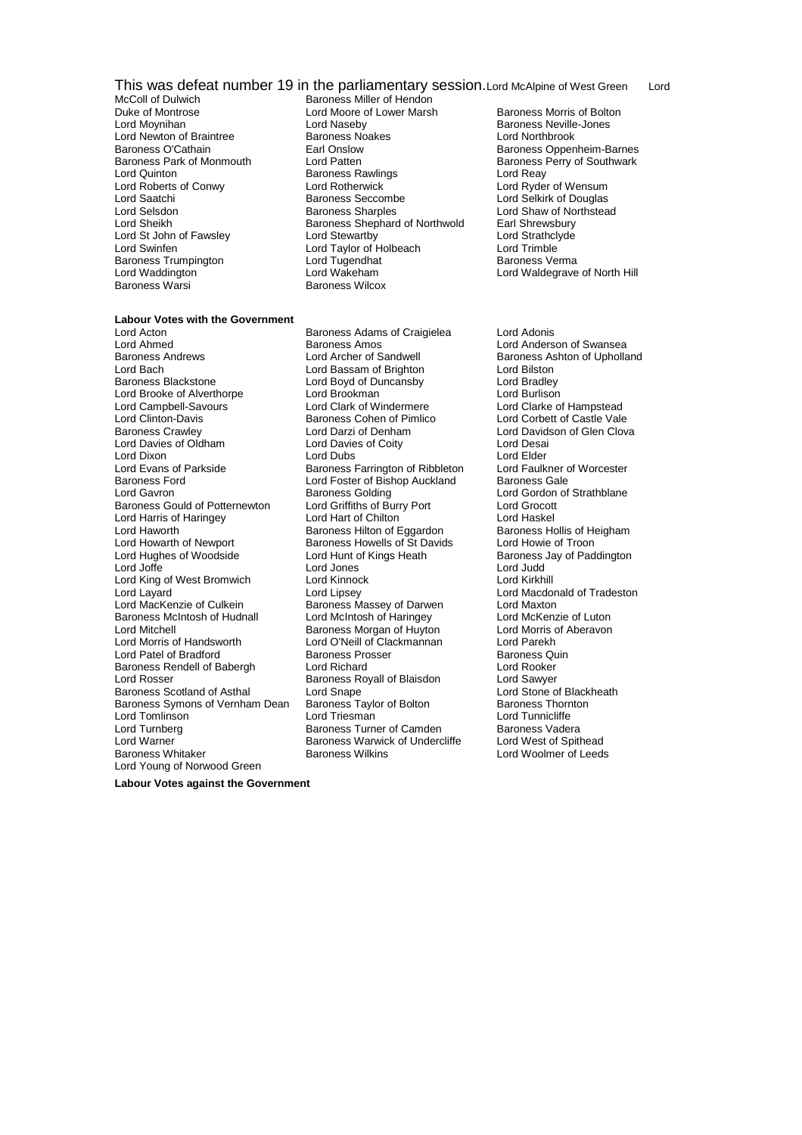# This was defeat number 19 in the parliamentary session. Lord McAlpine of West Green Lord<br>McColl of Dulwich Baroness Miller of Hendon

- Lord Quinton<br>
Lord Roberts of Conwy<br>
Lord Rotherwick Lord St John of Fawsley Baroness Trumpington **Lord Tugendhat**<br>
Lord Waddington **Baroness I Lord Wakeham** Baroness Warsi
- McColl of Dulwich Baroness Miller of Hendon<br>Duke of Montrose Baroness Miller of Lower Marsh Duke of Montrose **Lord Moore of Lower Marsh** Baroness Morris of Bolton<br>
Lord Moynihan **Baroness Neville-Jones** Lord Naseby<br>
Baroness Noakes<br>
Lord Northbrook<br>
Lord Northbrook Lord Newton of Braintree **Baroness Noakes** Lord Northbrook<br>
Baroness O'Cathain **Baroness Earl Onslow Baroness O'Cathain** Baroness Park of Monmouth Lord Patten and Baroness Perry of Southwark<br>
Lord Quinton Coronal Baroness Rawlings<br>
Lord Reay Lord Roberts of Conwy<br>
Lord Roberts of Conwy Lord Rotherwick Lord Ryder of Wensum<br>
Lord Saatchi Baroness Seccombe Lord Selkirk of Douglas Lord Selsdon **Baroness Sharples** Lord Shaw of Northstead<br>
Lord Sheikh **Baroness Shephard of Northwold** Earl Shrewsbury Lord Sheikh Baroness Shephard of Northwold Earl Shrewsbury<br>
Lord St Uohn of Fawsley Lord Stewartby<br>
Lord Strathclyde Lord Swinfen **Lord Trimble Lord Trimble**<br>
Baroness Trumpington **Lord Tugendhat** Corporation Control Baroness Verma Lord Wakeham **Lord Waldegrave of North Hill**<br>Baroness Wilcox
- **Labour Votes with the Government**

Lord Acton Baroness Adams of Craigielea Lord Adonis Lord Ahmed **Baroness Amos** Cord Anderson of Swansea<br>Baroness Andrews **Baroness Anderson Cord Archer of Sandwell** Baroness Ashton of Upholla Lord Bach Lord Bassam of Brighton Lord Bilston Lord Brooke of Alverthorpe Lord Brookman<br>
Lord Campbell-Savours
Lord Clark of Windermere Lord Campbell-Savours **Lord Clark of Clark of Windermere** Lord Clarke of Hampstead<br>
Lord Clinton-Davis **Clark of Hampstead**<br>
Baroness Cohen of Pimlico Lord Corbett of Castle Vale Baroness Crawley **Lord Darzi of Denham** Lord Davidson of Glen Clova<br>Lord Davies of Oldham Lord Davies of Coity Lord Desai Lord Davies of Oldham Lord Dixon Lord Dubs Lord Elder Lord Evans of Parkside Baroness Farrington of Ribbleton Lord Faulkner of Worcester Baroness Ford **Exercise Server Contract Contract Contract Contract Contract Contract Contract Contract Contract Contract Contract Contract Contract Contract Contract Contract Contract Contract Contract Contract Contract Co** Baroness Gould of Potternewton Lord Griffiths of Burry Port Lord Grocott<br>
Lord Harris of Haringev Lord Hart of Chilton Lord Haskel Lord Harris of Haringey Lord Hart of Chilton Chilton Cord Haskel<br>
Lord Haworth Cord How Baroness Hilton of Eggardon Baroness Hollis of Heigham Lord Howarth of Newport Baroness Howells of St Davids Lord Howie of Troon Lord Hughes of Woodside Lord Hunt of Kings Heath Baroness Jay of Paddington<br>Lord Judd Lord Lord Junes Lord Judd Lord King of West Bromwich Lord Layard<br>
Lord MacKenzie of Culkein<br>
Lord MacKenzie of Culkein<br>
Baroness Massey of Darwen<br>
Lord Maxton Lord MacKenzie of Culkein **Baroness Massey of Darwen** Lord Maxton<br>Baroness McIntosh of Hudnall Lord McIntosh of Haringey Lord McKenzie of Luton Baroness McIntosh of Hudnall Lord McIntosh of Haringey Lord McKenzie of Luton<br>
Lord Mitchell Cord McIntosh of Aberavon<br>
Lord Morris of Aberavon Lord Mitchell<br>
Lord Mitchell Baroness Morgan of Huyton<br>
Lord O'Neill of Clackmannan Lord Patel of Bradford **Baroness Baroness Prosser** Baroness Quinter Baroness Quinter Baroness Quinter<br>Baroness Rendell of Babergh **Baroness Prosser Baroness Communist Control** Lord Rooker Baroness Rendell of Babergh Lord Richard Lord Rooker Lord Rosser **Baroness Royall of Blaisdon** Baroness Scotland of Asthal **Lord Shape**<br>Baroness Symons of Vernham Dean Baroness Taylor of Bolton **Baroness Thornton** Baroness Symons of Vernham Dean Lord Tomlinson Lord Triesman Lord Tunnicliffe Lord Turnberg Turners Turner of Camden<br>
Lord Warner Turner States Baroness Warwick of Undercliffe Lord West of Spithead Lord Warner Theory Corress Warms Baroness Warwick of Undercliffe Baroness Wilkins Lord Young of Norwood Green

Lord Boyd of Duncansby Lord Bradley<br>
Lord Brookman Lord Burlison Baroness Cohen of Pimlico<br>Lord Darzi of Denham Baroness Hilton of Eggardon Lord Jones Lord Judd<br>
Lord Kinnock Lord Kirkhill Lord O'Neill of Clackmannan Lord Parekh<br>Baroness Prosser Baroness Quin Baroness Wilkins Lord Woolmer of Leeds

Baroness Oppenheim-Barnes Lord Selkirk of Douglas

Baroness Ashton of Upholland Lord Gordon of Strathblane

**Labour Votes against the Government**